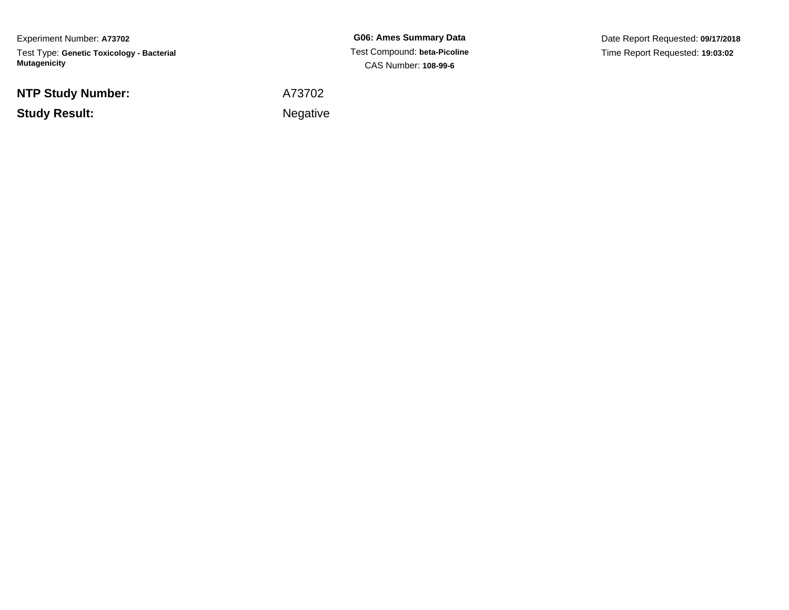Experiment Number: **A73702**Test Type: **Genetic Toxicology - Bacterial Mutagenicity**

**NTP Study Number:**

**Example 2** is the contract of the Negative **Study Result:**

**G06: Ames Summary Data** Test Compound: **beta-Picoline**CAS Number: **108-99-6**

Date Report Requested: **09/17/2018**Time Report Requested: **19:03:02**

A73702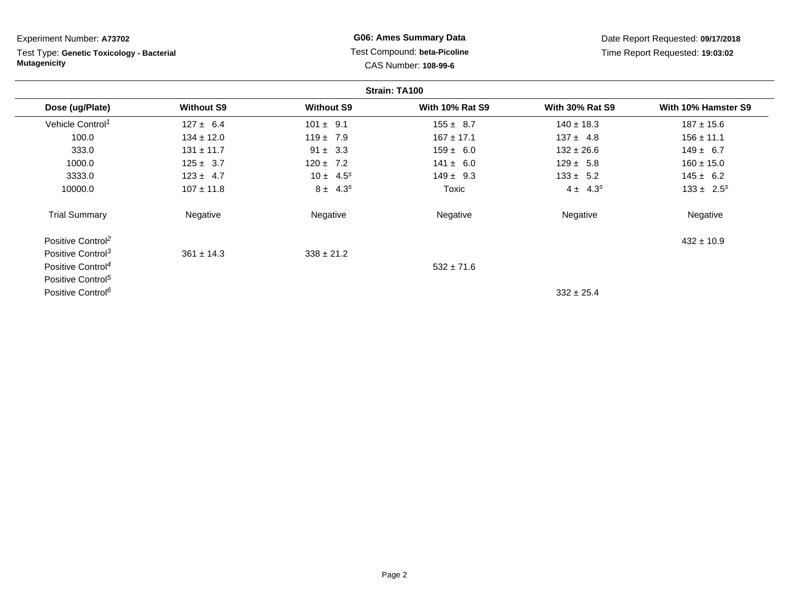| Experiment Number: A73702                                        |                   |                                                      | <b>G06: Ames Summary Data</b> |                                 | Date Report Requested: 09/17/2018 |
|------------------------------------------------------------------|-------------------|------------------------------------------------------|-------------------------------|---------------------------------|-----------------------------------|
| Test Type: Genetic Toxicology - Bacterial<br><b>Mutagenicity</b> |                   | Test Compound: beta-Picoline<br>CAS Number: 108-99-6 |                               | Time Report Requested: 19:03:02 |                                   |
|                                                                  |                   |                                                      | Strain: TA100                 |                                 |                                   |
| Dose (ug/Plate)                                                  | <b>Without S9</b> | <b>Without S9</b>                                    | <b>With 10% Rat S9</b>        | <b>With 30% Rat S9</b>          | With 10% Hamster S9               |
| Vehicle Control <sup>1</sup>                                     | $127 \pm 6.4$     | $101 \pm 9.1$                                        | $155 \pm 8.7$                 | $140 \pm 18.3$                  | $187 \pm 15.6$                    |
| 100.0                                                            | $134 \pm 12.0$    | $119 \pm 7.9$                                        | $167 \pm 17.1$                | $137 \pm 4.8$                   | $156 \pm 11.1$                    |
| 333.0                                                            | $131 \pm 11.7$    | $91 \pm 3.3$                                         | $159 \pm 6.0$                 | $132 \pm 26.6$                  | $149 \pm 6.7$                     |
| 1000.0                                                           | $125 \pm 3.7$     | $120 \pm 7.2$                                        | $141 \pm 6.0$                 | $129 \pm 5.8$                   | $160 \pm 15.0$                    |
| 3333.0                                                           | $123 \pm 4.7$     | $10 \pm 4.5^s$                                       | $149 \pm 9.3$                 | $133 \pm 5.2$                   | $145 \pm 6.2$                     |
| 10000.0                                                          | $107 \pm 11.8$    | $8 \pm 4.3^s$                                        | Toxic                         | $4 \pm 4.3^{s}$                 | $133 \pm 2.5^s$                   |
| <b>Trial Summary</b>                                             | Negative          | Negative                                             | Negative                      | Negative                        | Negative                          |
| Positive Control <sup>2</sup>                                    |                   |                                                      |                               |                                 | $432 \pm 10.9$                    |
| Positive Control <sup>3</sup>                                    | $361 \pm 14.3$    | $338 \pm 21.2$                                       |                               |                                 |                                   |
| Positive Control <sup>4</sup>                                    |                   |                                                      | $532 \pm 71.6$                |                                 |                                   |
| Positive Control <sup>5</sup>                                    |                   |                                                      |                               |                                 |                                   |
| Positive Control <sup>6</sup>                                    |                   |                                                      |                               | $332 \pm 25.4$                  |                                   |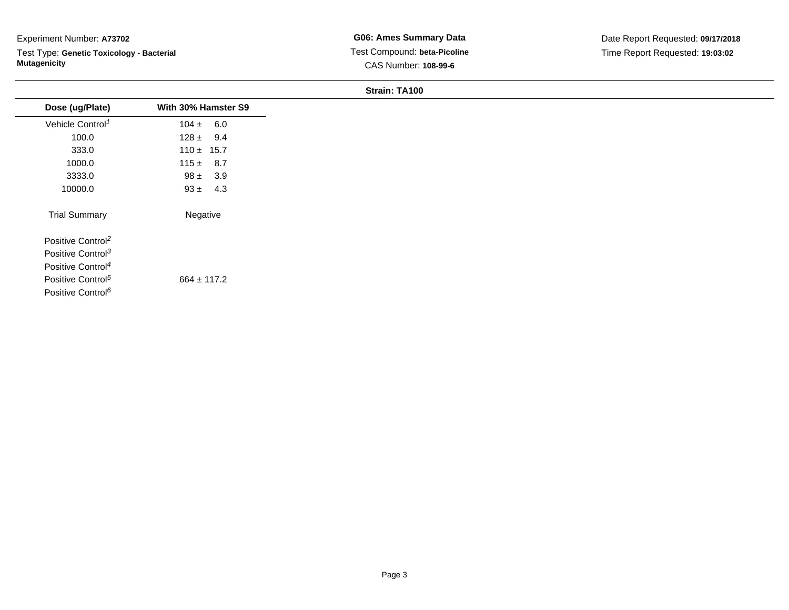Test Type: **Genetic Toxicology - Bacterial Mutagenicity**

**G06: Ames Summary Data** Test Compound: **beta-Picoline**CAS Number: **108-99-6**

Date Report Requested: **09/17/2018**Time Report Requested: **19:03:02**

#### **Strain: TA100**

| Dose (ug/Plate)               | With 30% Hamster S9 |  |
|-------------------------------|---------------------|--|
| Vehicle Control <sup>1</sup>  | $104 \pm 6.0$       |  |
| 100.0                         | $128 \pm 9.4$       |  |
| 333.0                         | $110 \pm 15.7$      |  |
| 1000.0                        | $115 \pm 8.7$       |  |
| 3333.0                        | $98 \pm 3.9$        |  |
| 10000.0                       | $93 \pm 4.3$        |  |
| <b>Trial Summary</b>          | Negative            |  |
| Positive Control <sup>2</sup> |                     |  |
| Positive Control <sup>3</sup> |                     |  |
| Positive Control <sup>4</sup> |                     |  |
| Positive Control <sup>5</sup> | $664 \pm 117.2$     |  |
| Positive Control <sup>6</sup> |                     |  |
|                               |                     |  |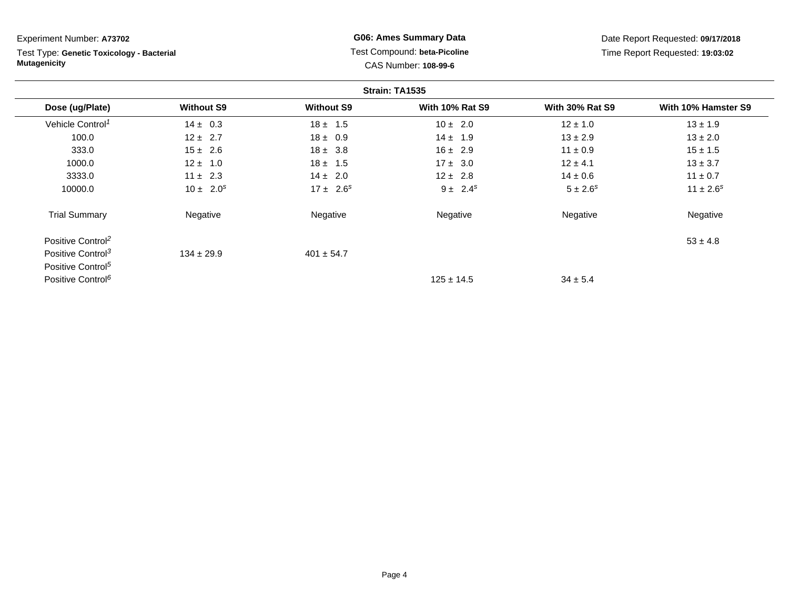**Strain: TA1535Dose (ug/Plate) Without S9 Without S9 With 10% Rat S9 With 30% Rat S9 With 10% Hamster S9** Vehicle Control<sup>1</sup>  $14 \pm 0.3$ 3  $18 \pm 1.5$   $10 \pm 2.0$   $12 \pm 1.0$   $13 \pm 1.9$ 100.00 12 ± 2.7 18 ± 0.9 14 ± 1.9 13 ± 2.9 13 ± 2.0 333.00 15 ± 2.6 18 ± 3.8 16 ± 2.9 11 ± 0.9 15 ± 1.5 1000.00 12 ± 1.0 18 ± 1.5 17 ± 3.0 12 ± 4.1 13 ± 3.7 3333.00 11 ± 2.3 14 ± 2.0 12 ± 2.8 14 ± 0.6 11 ± 0.7 10000.00  $10 \pm 2.0^s$   $17 \pm 2.6^s$   $9 \pm 2.4^s$   $5 \pm 2.6^s$   $11 \pm 2.6^s$ Trial Summary Negativee **Negative Regative** Negative Negative Negative Regative Negative Positive Control<sup>2</sup>  $\frac{2}{33} \pm 4.8$ Positive Control<sup>3</sup>  $134 \pm 29.9$  $401 \pm 54.7$ Positive Control<sup>5</sup> Positive Control<sup>6</sup>  $125 \pm 14.5$  $34 \pm 5.4$ Experiment Number: **A73702**Test Type: **Genetic Toxicology - BacterialMutagenicityG06: Ames Summary Data** Test Compound: **beta-Picoline**CAS Number: **108-99-6**Date Report Requested: **09/17/2018**Time Report Requested: **19:03:02**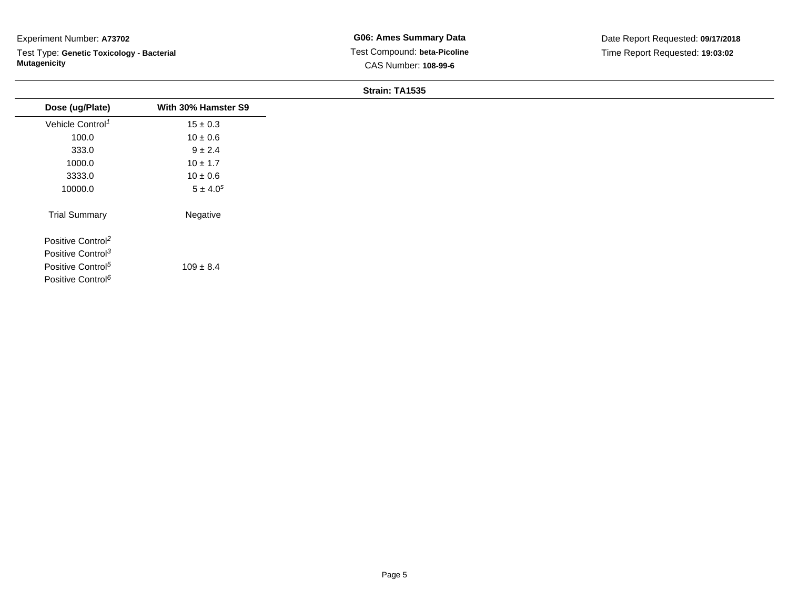Test Type: **Genetic Toxicology - Bacterial Mutagenicity**

## **Strain: TA1535**

| Dose (ug/Plate)               | With 30% Hamster S9      |
|-------------------------------|--------------------------|
| Vehicle Control <sup>1</sup>  | $15 \pm 0.3$             |
| 100.0                         | $10 \pm 0.6$             |
| 333.0                         | $9 \pm 2.4$              |
| 1000.0                        | $10 \pm 1.7$             |
| 3333.0                        | $10 \pm 0.6$             |
| 10000.0                       | $5 \pm 4.0$ <sup>s</sup> |
| <b>Trial Summary</b>          | Negative                 |
| Positive Control <sup>2</sup> |                          |
| Positive Control <sup>3</sup> |                          |
| Positive Control <sup>5</sup> | $109 \pm 8.4$            |
| Positive Control <sup>6</sup> |                          |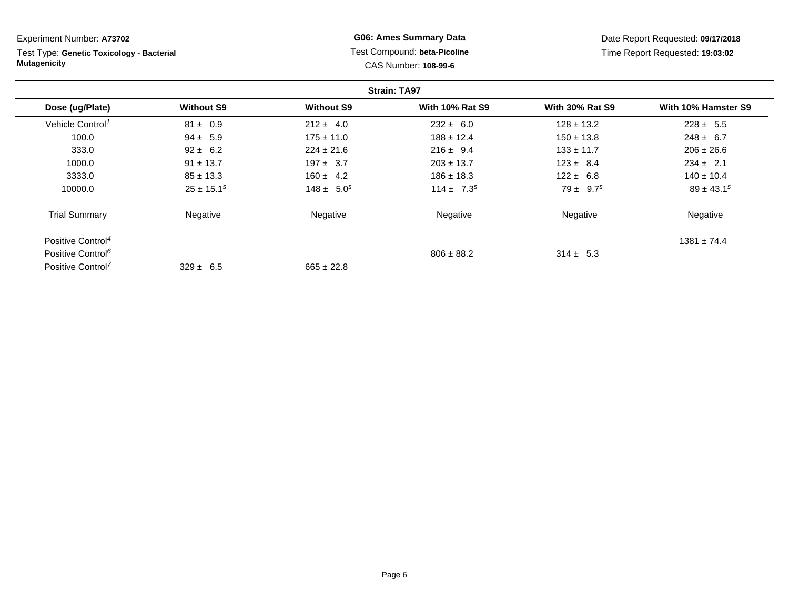| Experiment Number: A73702                                        |                   | <b>G06: Ames Summary Data</b> |                                                      | Date Report Requested: 09/17/2018 |                                 |
|------------------------------------------------------------------|-------------------|-------------------------------|------------------------------------------------------|-----------------------------------|---------------------------------|
| Test Type: Genetic Toxicology - Bacterial<br><b>Mutagenicity</b> |                   |                               | Test Compound: beta-Picoline<br>CAS Number: 108-99-6 |                                   | Time Report Requested: 19:03:02 |
|                                                                  |                   |                               | <b>Strain: TA97</b>                                  |                                   |                                 |
| Dose (ug/Plate)                                                  | <b>Without S9</b> | <b>Without S9</b>             | <b>With 10% Rat S9</b>                               | <b>With 30% Rat S9</b>            | With 10% Hamster S9             |
| Vehicle Control <sup>1</sup>                                     | $81 \pm 0.9$      | $212 \pm 4.0$                 | $232 \pm 6.0$                                        | $128 \pm 13.2$                    | $228 \pm 5.5$                   |
| 100.0                                                            | $94 \pm 5.9$      | $175 \pm 11.0$                | $188 \pm 12.4$                                       | $150 \pm 13.8$                    | $248 \pm 6.7$                   |
| 333.0                                                            | $92 \pm 6.2$      | $224 \pm 21.6$                | $216 \pm 9.4$                                        | $133 \pm 11.7$                    | $206 \pm 26.6$                  |
| 1000.0                                                           | $91 \pm 13.7$     | $197 \pm 3.7$                 | $203 \pm 13.7$                                       | $123 \pm 8.4$                     | $234 \pm 2.1$                   |
| 3333.0                                                           | $85 \pm 13.3$     | $160 \pm 4.2$                 | $186 \pm 18.3$                                       | $122 \pm 6.8$                     | $140 \pm 10.4$                  |
| 10000.0                                                          | $25 \pm 15.1^s$   | $148 \pm 5.0^s$               | $114 \pm 7.3^s$                                      | $79 \pm 9.7^s$                    | $89 \pm 43.1^s$                 |
| <b>Trial Summary</b>                                             | Negative          | Negative                      | Negative                                             | Negative                          | Negative                        |
| Positive Control <sup>4</sup>                                    |                   |                               |                                                      |                                   | $1381 \pm 74.4$                 |
| Positive Control <sup>6</sup>                                    |                   |                               | $806 \pm 88.2$                                       | $314 \pm 5.3$                     |                                 |
| Positive Control <sup>7</sup>                                    | $329 \pm 6.5$     | $665 \pm 22.8$                |                                                      |                                   |                                 |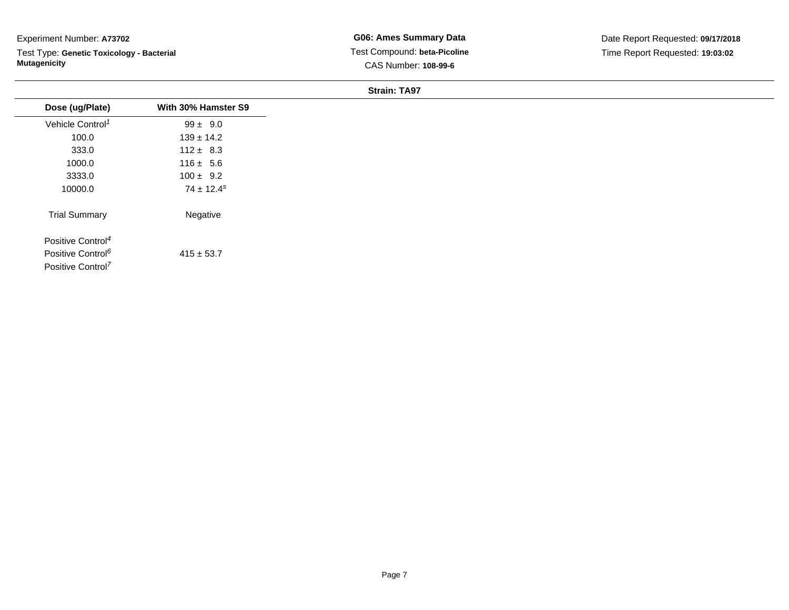Test Type: **Genetic Toxicology - Bacterial Mutagenicity**

**G06: Ames Summary Data** Test Compound: **beta-Picoline**CAS Number: **108-99-6**

**Strain: TA97**

| Dose (ug/Plate)               | With 30% Hamster S9 |
|-------------------------------|---------------------|
| Vehicle Control <sup>1</sup>  | $99 \pm 9.0$        |
| 100.0                         | $139 \pm 14.2$      |
| 333.0                         | $112 \pm 8.3$       |
| 1000.0                        | $116 \pm 5.6$       |
| 3333.0                        | $100 \pm 9.2$       |
| 10000.0                       | $74 \pm 12.4^s$     |
| <b>Trial Summary</b>          | Negative            |
| Positive Control <sup>4</sup> |                     |
| Positive Control <sup>6</sup> | $415 \pm 53.7$      |
| Positive Control <sup>7</sup> |                     |
|                               |                     |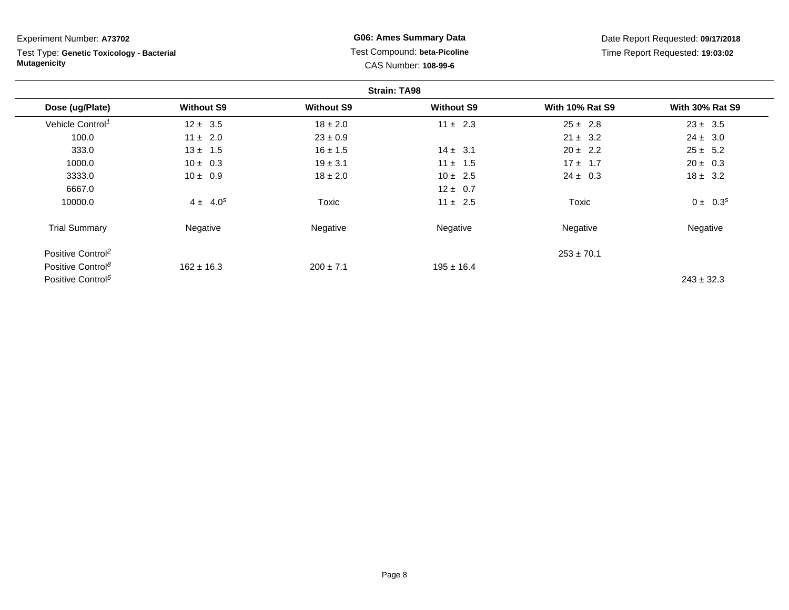**Strain: TA98Dose (ug/Plate) Without S9 Without S9 Without S9 With 10% Rat S9 With 30% Rat S9** Vehicle Control<sup>1</sup>  $12 \pm 3.5$  18 ± 2.0 11 ± 2.3 25 ± 2.8 23 ± 3.5 100.00  $11 \pm 2.0$   $23 \pm 0.9$   $23 \pm 0.9$   $21 \pm 3.2$   $24 \pm 3.0$ 333.00  $13 \pm 1.5$   $16 \pm 1.5$   $14 \pm 3.1$   $20 \pm 2.2$   $25 \pm 5.2$ 1000.00  $10 \pm 0.3$   $19 \pm 3.1$   $11 \pm 1.5$   $17 \pm 1.7$   $20 \pm 0.3$ 3333.00  $10 \pm 0.9$   $18 \pm 2.0$   $10 \pm 2.5$   $24 \pm 0.3$   $18 \pm 3.2$ 6667.00  $12 \pm 0.7$ 10000.00  $4 \pm 4.0^s$  Toxic  $11 \pm 2.5$  Toxic  $0 \pm 0.3^s$ Trial Summary Negativee **Negative Regative** Negative Negative Negative Regative Negative Positive Control<sup>2</sup> 253 ± 70.1 Positive Control<sup>8</sup>  $162 \pm 16.3$  $200 \pm 7.1$  195  $\pm$  16.4 Experiment Number: **A73702**Test Type: **Genetic Toxicology - BacterialMutagenicity** Test Compound: **beta-Picoline**CAS Number: **108-99-6**Date Report Requested: **09/17/2018**Time Report Requested: **19:03:02**

Positive Control<sup>5</sup>  $243 \pm 32.3$ 

# **G06: Ames Summary Data**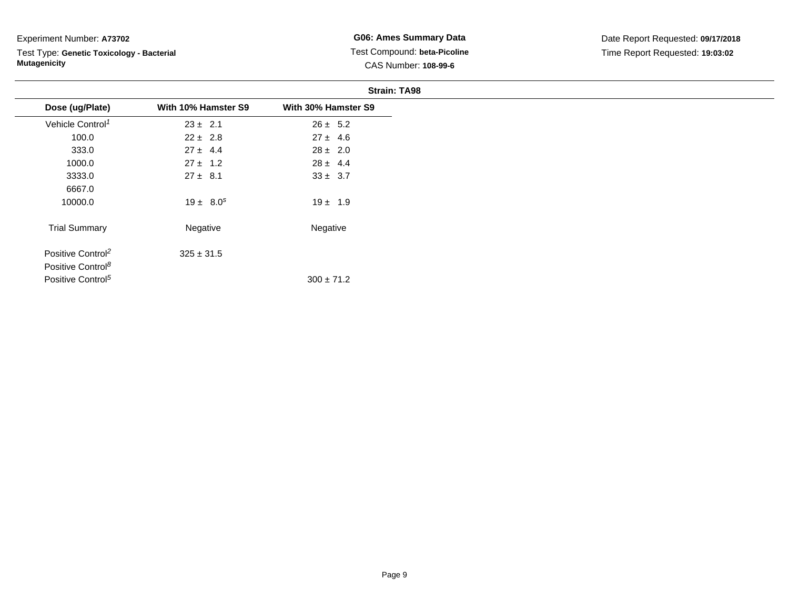Test Type: **Genetic Toxicology - Bacterial Mutagenicity**

**G06: Ames Summary Data** Test Compound: **beta-Picoline**CAS Number: **108-99-6**

|                               |                     | <b>Strain: TA98</b> |
|-------------------------------|---------------------|---------------------|
| Dose (ug/Plate)               | With 10% Hamster S9 | With 30% Hamster S9 |
| Vehicle Control <sup>1</sup>  | $23 \pm 2.1$        | $26 \pm 5.2$        |
| 100.0                         | $22 \pm 2.8$        | $27 \pm 4.6$        |
| 333.0                         | $27 \pm 4.4$        | $28 \pm 2.0$        |
| 1000.0                        | $27 \pm 1.2$        | $28 \pm 4.4$        |
| 3333.0                        | $27 \pm 8.1$        | $33 \pm 3.7$        |
| 6667.0                        |                     |                     |
| 10000.0                       | $19 \pm 8.0^s$      | $19 \pm 1.9$        |
| <b>Trial Summary</b>          | Negative            | Negative            |
| Positive Control <sup>2</sup> | $325 \pm 31.5$      |                     |
| Positive Control <sup>8</sup> |                     |                     |
| Positive Control <sup>5</sup> |                     | $300 \pm 71.2$      |